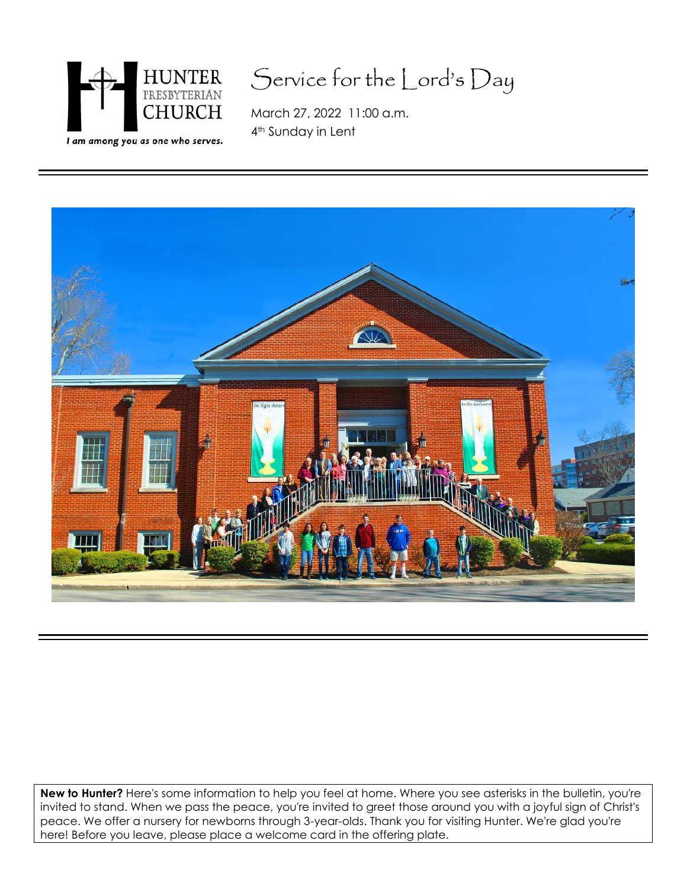

# Service for the Lord's Day

March 27, 2022 11:00 a.m. 4th Sunday in Lent



**New to Hunter?** Here's some information to help you feel at home. Where you see asterisks in the bulletin, you're invited to stand. When we pass the peace, you're invited to greet those around you with a joyful sign of Christ's peace. We offer a nursery for newborns through 3-year-olds. Thank you for visiting Hunter. We're glad you're here! Before you leave, please place a welcome card in the offering plate.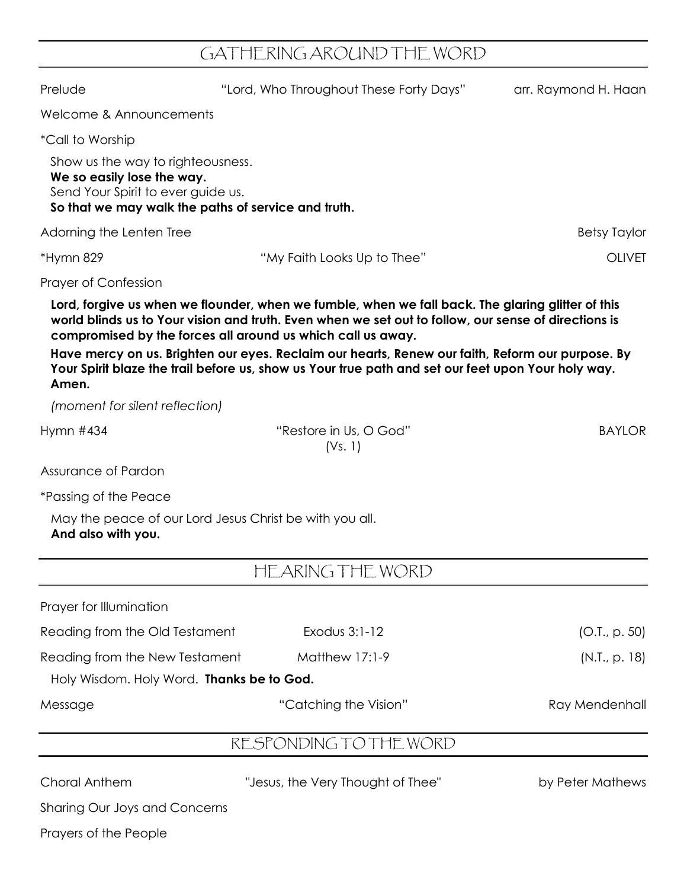## GATHERING AROUND THE WORD

| Prelude                                                                                                                                                      | "Lord, Who Throughout These Forty Days"                                                                                                                                                                                                                                                                                                                                                                                                                                            | arr. Raymond H. Haan |
|--------------------------------------------------------------------------------------------------------------------------------------------------------------|------------------------------------------------------------------------------------------------------------------------------------------------------------------------------------------------------------------------------------------------------------------------------------------------------------------------------------------------------------------------------------------------------------------------------------------------------------------------------------|----------------------|
| Welcome & Announcements                                                                                                                                      |                                                                                                                                                                                                                                                                                                                                                                                                                                                                                    |                      |
| <i>*Call to Worship</i>                                                                                                                                      |                                                                                                                                                                                                                                                                                                                                                                                                                                                                                    |                      |
| Show us the way to righteousness.<br>We so easily lose the way.<br>Send Your Spirit to ever guide us.<br>So that we may walk the paths of service and truth. |                                                                                                                                                                                                                                                                                                                                                                                                                                                                                    |                      |
| Adorning the Lenten Tree                                                                                                                                     |                                                                                                                                                                                                                                                                                                                                                                                                                                                                                    | <b>Betsy Taylor</b>  |
| *Hymn 829                                                                                                                                                    | "My Faith Looks Up to Thee"                                                                                                                                                                                                                                                                                                                                                                                                                                                        | <b>OLIVET</b>        |
| <b>Prayer of Confession</b>                                                                                                                                  |                                                                                                                                                                                                                                                                                                                                                                                                                                                                                    |                      |
| Amen.                                                                                                                                                        | Lord, forgive us when we flounder, when we fumble, when we fall back. The glaring glitter of this<br>world blinds us to Your vision and truth. Even when we set out to follow, our sense of directions is<br>compromised by the forces all around us which call us away.<br>Have mercy on us. Brighten our eyes. Reclaim our hearts, Renew our faith, Reform our purpose. By<br>Your Spirit blaze the trail before us, show us Your true path and set our feet upon Your holy way. |                      |
| (moment for silent reflection)                                                                                                                               |                                                                                                                                                                                                                                                                                                                                                                                                                                                                                    |                      |
| Hymn #434                                                                                                                                                    | "Restore in Us, O God"<br>(Vs. 1)                                                                                                                                                                                                                                                                                                                                                                                                                                                  | <b>BAYLOR</b>        |
| Assurance of Pardon                                                                                                                                          |                                                                                                                                                                                                                                                                                                                                                                                                                                                                                    |                      |
| *Passing of the Peace                                                                                                                                        |                                                                                                                                                                                                                                                                                                                                                                                                                                                                                    |                      |
| May the peace of our Lord Jesus Christ be with you all.<br>And also with you.                                                                                |                                                                                                                                                                                                                                                                                                                                                                                                                                                                                    |                      |
|                                                                                                                                                              | HEARING THE WORD                                                                                                                                                                                                                                                                                                                                                                                                                                                                   |                      |
| Prayer for Illumination                                                                                                                                      |                                                                                                                                                                                                                                                                                                                                                                                                                                                                                    |                      |
| Reading from the Old Testament                                                                                                                               | Exodus 3:1-12                                                                                                                                                                                                                                                                                                                                                                                                                                                                      | (O.I., p. 50)        |
| Reading from the New Testament                                                                                                                               | <b>Matthew 17:1-9</b>                                                                                                                                                                                                                                                                                                                                                                                                                                                              | (N.I., p. 18)        |
| Holy Wisdom. Holy Word. Thanks be to God.                                                                                                                    |                                                                                                                                                                                                                                                                                                                                                                                                                                                                                    |                      |
| Message                                                                                                                                                      | "Catching the Vision"                                                                                                                                                                                                                                                                                                                                                                                                                                                              | Ray Mendenhall       |
|                                                                                                                                                              | RESPONDING TO THE WORD                                                                                                                                                                                                                                                                                                                                                                                                                                                             |                      |
| Choral Anthem                                                                                                                                                | "Jesus, the Very Thought of Thee"                                                                                                                                                                                                                                                                                                                                                                                                                                                  | by Peter Mathews     |

Sharing Our Joys and Concerns

Prayers of the People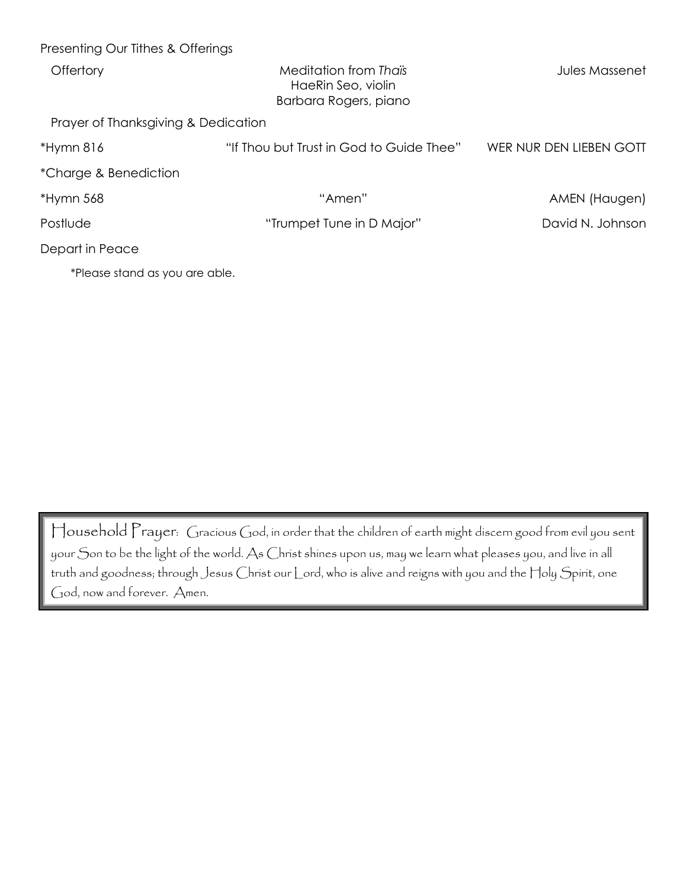| Presenting Our Tithes & Offerings   |                                                                      |                         |
|-------------------------------------|----------------------------------------------------------------------|-------------------------|
| Offertory                           | Meditation from Thaïs<br>HaeRin Seo, violin<br>Barbara Rogers, piano | <b>Jules Massenet</b>   |
| Prayer of Thanksgiving & Dedication |                                                                      |                         |
| *Hymn 816                           | "If Thou but Trust in God to Guide Thee"                             | WER NUR DEN LIEBEN GOTT |
| *Charge & Benediction               |                                                                      |                         |
| *Hymn 568                           | "Amen"                                                               | AMEN (Haugen)           |
| Postlude                            | "Trumpet Tune in D Major"                                            | David N. Johnson        |
| Depart in Peace                     |                                                                      |                         |
| *Please stand as you are able.      |                                                                      |                         |

Household Prayer: Gracious God, in order that the children of earth might discern good from evil you sent your Son to be the light of the world. As Christ shines upon us, may we learn what pleases you, and live in all truth and goodness; through Jesus Christ our Lord, who is alive and reigns with you and the Holy Spirit, one God, now and forever. Amen.